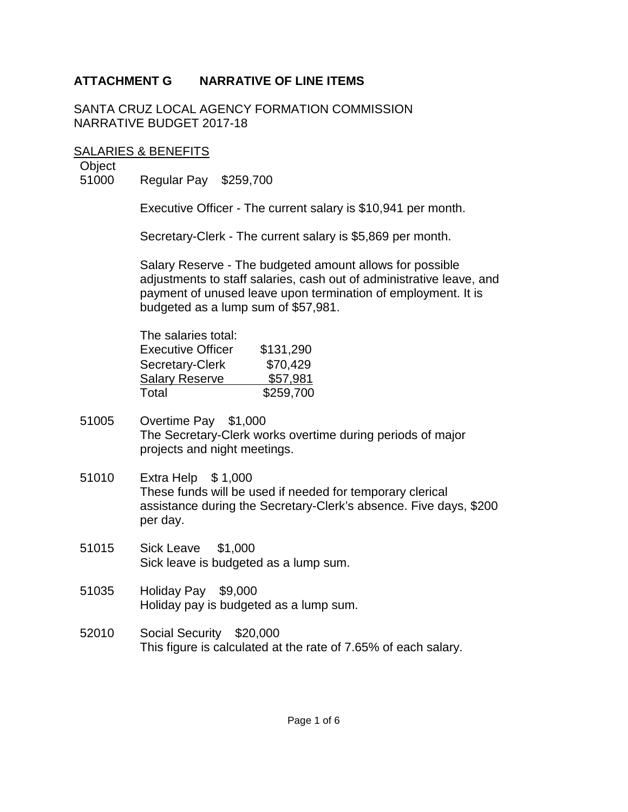SANTA CRUZ LOCAL AGENCY FORMATION COMMISSION NARRATIVE BUDGET 2017-18

### SALARIES & BENEFITS

**Object** 51000 Regular Pay \$259,700

Executive Officer - The current salary is \$10,941 per month.

Secretary-Clerk - The current salary is \$5,869 per month.

Salary Reserve - The budgeted amount allows for possible adjustments to staff salaries, cash out of administrative leave, and payment of unused leave upon termination of employment. It is budgeted as a lump sum of \$57,981.

| The salaries total:      |           |
|--------------------------|-----------|
| <b>Executive Officer</b> | \$131,290 |
| Secretary-Clerk          | \$70,429  |
| <b>Salary Reserve</b>    | \$57,981  |
| Total                    | \$259,700 |

- 51005 Overtime Pay \$1,000 The Secretary-Clerk works overtime during periods of major projects and night meetings.
- 51010 Extra Help \$ 1,000 These funds will be used if needed for temporary clerical assistance during the Secretary-Clerk's absence. Five days, \$200 per day.
- 51015 Sick Leave \$1,000 Sick leave is budgeted as a lump sum.
- 51035 Holiday Pay \$9,000 Holiday pay is budgeted as a lump sum.
- 52010 Social Security \$20,000 This figure is calculated at the rate of 7.65% of each salary.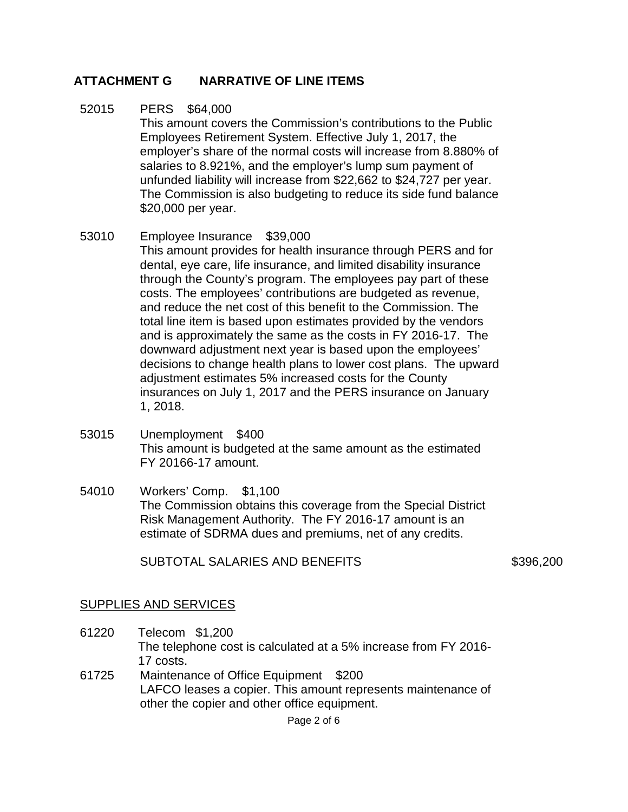- 52015 PERS \$64,000 This amount covers the Commission's contributions to the Public Employees Retirement System. Effective July 1, 2017, the employer's share of the normal costs will increase from 8.880% of salaries to 8.921%, and the employer's lump sum payment of unfunded liability will increase from \$22,662 to \$24,727 per year. The Commission is also budgeting to reduce its side fund balance \$20,000 per year.
- 53010 Employee Insurance \$39,000 This amount provides for health insurance through PERS and for dental, eye care, life insurance, and limited disability insurance through the County's program. The employees pay part of these costs. The employees' contributions are budgeted as revenue, and reduce the net cost of this benefit to the Commission. The total line item is based upon estimates provided by the vendors and is approximately the same as the costs in FY 2016-17. The downward adjustment next year is based upon the employees' decisions to change health plans to lower cost plans. The upward adjustment estimates 5% increased costs for the County insurances on July 1, 2017 and the PERS insurance on January 1, 2018.
- 53015 Unemployment \$400 This amount is budgeted at the same amount as the estimated FY 20166-17 amount.
- 54010 Workers' Comp. \$1,100 The Commission obtains this coverage from the Special District Risk Management Authority. The FY 2016-17 amount is an estimate of SDRMA dues and premiums, net of any credits.

SUBTOTAL SALARIES AND BENEFITS \$396,200

#### SUPPLIES AND SERVICES

- 61220 Telecom \$1,200 The telephone cost is calculated at a 5% increase from FY 2016- 17 costs.
- 61725 Maintenance of Office Equipment \$200 LAFCO leases a copier. This amount represents maintenance of other the copier and other office equipment.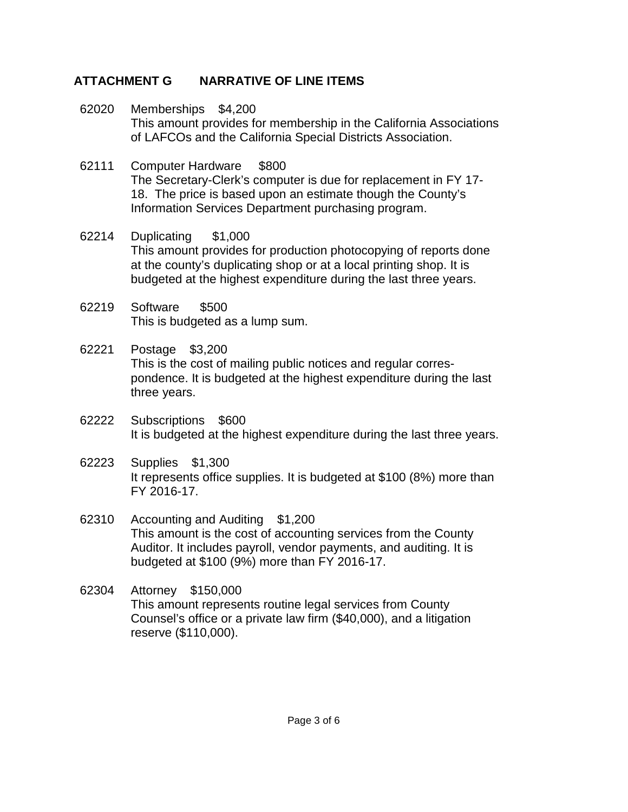- 62020 Memberships \$4,200 This amount provides for membership in the California Associations of LAFCOs and the California Special Districts Association.
- 62111 Computer Hardware \$800 The Secretary-Clerk's computer is due for replacement in FY 17- 18. The price is based upon an estimate though the County's Information Services Department purchasing program.
- 62214 Duplicating \$1,000 This amount provides for production photocopying of reports done at the county's duplicating shop or at a local printing shop. It is budgeted at the highest expenditure during the last three years.
- 62219 Software \$500 This is budgeted as a lump sum.
- 62221 Postage \$3,200 This is the cost of mailing public notices and regular correspondence. It is budgeted at the highest expenditure during the last three years.
- 62222 Subscriptions \$600 It is budgeted at the highest expenditure during the last three years.
- 62223 Supplies \$1,300 It represents office supplies. It is budgeted at \$100 (8%) more than FY 2016-17.
- 62310 Accounting and Auditing \$1,200 This amount is the cost of accounting services from the County Auditor. It includes payroll, vendor payments, and auditing. It is budgeted at \$100 (9%) more than FY 2016-17.
- 62304 Attorney \$150,000 This amount represents routine legal services from County Counsel's office or a private law firm (\$40,000), and a litigation reserve (\$110,000).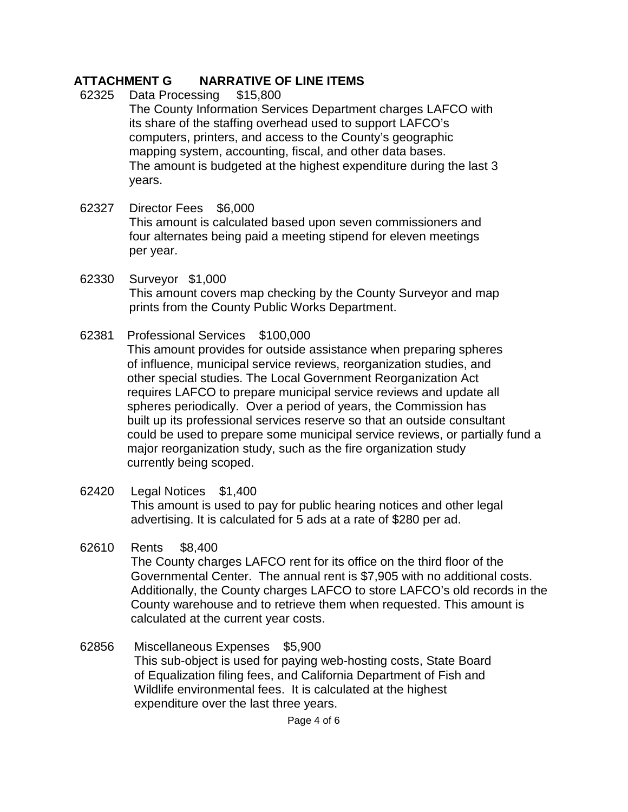- 62325 Data Processing \$15,800 The County Information Services Department charges LAFCO with its share of the staffing overhead used to support LAFCO's computers, printers, and access to the County's geographic mapping system, accounting, fiscal, and other data bases. The amount is budgeted at the highest expenditure during the last 3 years.
- 62327 Director Fees \$6,000 This amount is calculated based upon seven commissioners and four alternates being paid a meeting stipend for eleven meetings per year.
- 62330 Surveyor \$1,000 This amount covers map checking by the County Surveyor and map prints from the County Public Works Department.
- 62381 Professional Services \$100,000 This amount provides for outside assistance when preparing spheres of influence, municipal service reviews, reorganization studies, and other special studies. The Local Government Reorganization Act requires LAFCO to prepare municipal service reviews and update all spheres periodically. Over a period of years, the Commission has built up its professional services reserve so that an outside consultant could be used to prepare some municipal service reviews, or partially fund a major reorganization study, such as the fire organization study currently being scoped.
- 62420 Legal Notices \$1,400 This amount is used to pay for public hearing notices and other legal advertising. It is calculated for 5 ads at a rate of \$280 per ad.
- 62610 Rents \$8,400 The County charges LAFCO rent for its office on the third floor of the Governmental Center. The annual rent is \$7,905 with no additional costs. Additionally, the County charges LAFCO to store LAFCO's old records in the County warehouse and to retrieve them when requested. This amount is calculated at the current year costs.

62856 Miscellaneous Expenses \$5,900 This sub-object is used for paying web-hosting costs, State Board of Equalization filing fees, and California Department of Fish and Wildlife environmental fees. It is calculated at the highest expenditure over the last three years.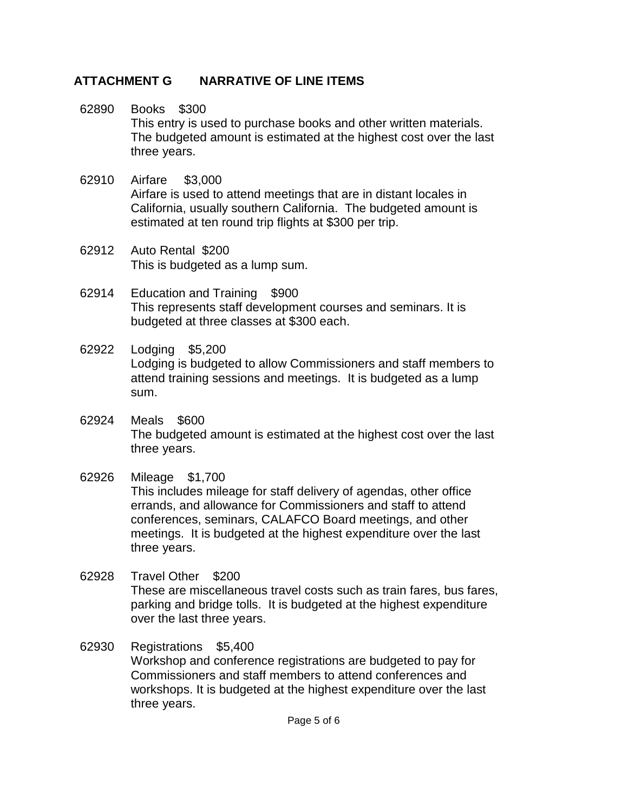- 62890 Books \$300 This entry is used to purchase books and other written materials. The budgeted amount is estimated at the highest cost over the last three years.
- 62910 Airfare \$3,000 Airfare is used to attend meetings that are in distant locales in California, usually southern California. The budgeted amount is estimated at ten round trip flights at \$300 per trip.
- 62912 Auto Rental \$200 This is budgeted as a lump sum.
- 62914 Education and Training \$900 This represents staff development courses and seminars. It is budgeted at three classes at \$300 each.
- 62922 Lodging \$5,200 Lodging is budgeted to allow Commissioners and staff members to attend training sessions and meetings. It is budgeted as a lump sum.
- 62924 Meals \$600 The budgeted amount is estimated at the highest cost over the last three years.

# 62926 Mileage \$1,700

This includes mileage for staff delivery of agendas, other office errands, and allowance for Commissioners and staff to attend conferences, seminars, CALAFCO Board meetings, and other meetings. It is budgeted at the highest expenditure over the last three years.

- 62928 Travel Other \$200 These are miscellaneous travel costs such as train fares, bus fares, parking and bridge tolls. It is budgeted at the highest expenditure over the last three years.
- 62930 Registrations \$5,400 Workshop and conference registrations are budgeted to pay for Commissioners and staff members to attend conferences and workshops. It is budgeted at the highest expenditure over the last three years.